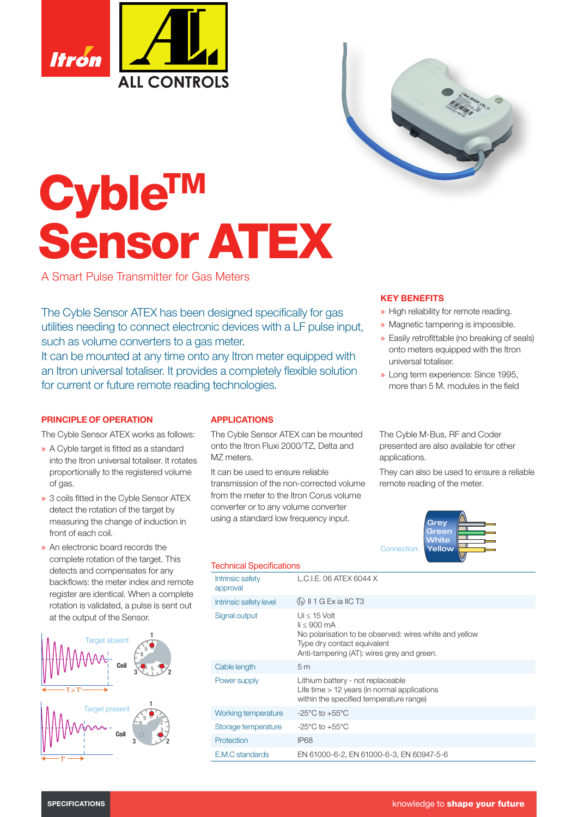



# **CybleTM** Sensor ATEX

A Smart Pulse Transmitter for Gas Meters

The Cyble Sensor ATEX has been designed specifically for gas utilities needing to connect electronic devices with a LF pulse input, such as volume converters to a gas meter.

It can be mounted at any time onto any Itron meter equipped with an Itron universal totaliser. It provides a completely flexible solution for current or future remote reading technologies.

### PRINCIPLE OF OPERATION

The Cyble Sensor ATEX works as follows:

- » A Cyble target is fitted as a standard into the Itron universal totaliser. It rotates proportionally to the registered volume of gas.
- » 3 coils fitted in the Cyble Sensor ATEX detect the rotation of the target by measuring the change of induction in front of each coil.
- » An electronic board records the complete rotation of the target. This detects and compensates for any backflows: the meter index and remote register are identical. When a complete rotation is validated, a pulse is sent out at the output of the Sensor.



# APPLICATIONS

The Cyble Sensor ATEX can be mounted onto the Itron Fluxi 2000/TZ, Delta and M<sub>Z</sub> meters.

It can be used to ensure reliable transmission of the non-corrected volume from the meter to the Itron Corus volume converter or to any volume converter using a standard low frequency input.

## KEY BENEFITS

- » High reliability for remote reading.
- » Magnetic tampering is impossible.
- » Easily retrofittable (no breaking of seals) onto meters equipped with the Itron universal totaliser.
- » Long term experience: Since 1995, more than 5 M. modules in the field

The Cyble M-Bus, RF and Coder presented are also available for other applications.

They can also be used to ensure a reliable remote reading of the meter.



| <b>Technical Specifications</b> |                                                                                                                                                                                             |
|---------------------------------|---------------------------------------------------------------------------------------------------------------------------------------------------------------------------------------------|
| Intrinsic safety<br>approval    | L.C.I.E. 06 ATEX 6044 X                                                                                                                                                                     |
| Intrinsic safety level          | $\langle 6 \rangle$    1 G Ex ia    C T3                                                                                                                                                    |
| Signal output                   | Ui $\leq$ 15 Volt<br>$\text{li} \leq 900 \text{ mA}$<br>No polarisation to be observed: wires white and yellow<br>Type dry contact equivalent<br>Anti-tampering (AT): wires grey and green. |
| Cable length                    | 5 <sub>m</sub>                                                                                                                                                                              |
| Power supply                    | Lithium battery - not replaceable<br>Life time $> 12$ years (in normal applications<br>within the specified temperature range)                                                              |
| Working temperature             | $-25^{\circ}$ C to $+55^{\circ}$ C                                                                                                                                                          |
| Storage temperature             | $-25^{\circ}$ C to $+55^{\circ}$ C                                                                                                                                                          |
| Protection                      | IP68                                                                                                                                                                                        |
| E.M.C standards                 | EN 61000-6-2, EN 61000-6-3, EN 60947-5-6                                                                                                                                                    |